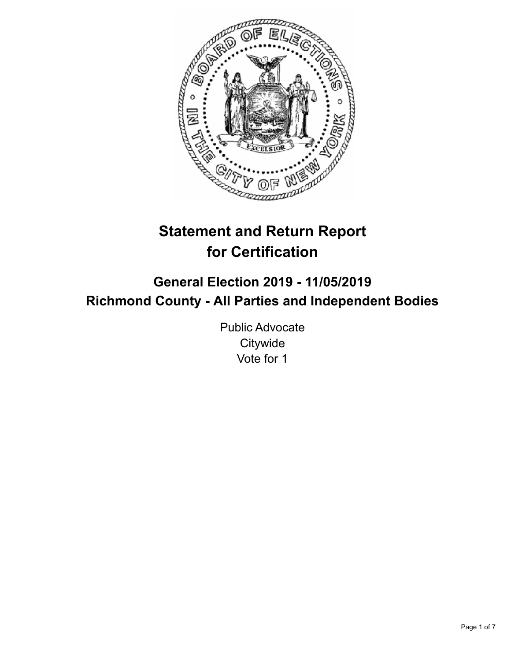

# **Statement and Return Report for Certification**

## **General Election 2019 - 11/05/2019 Richmond County - All Parties and Independent Bodies**

Public Advocate **Citywide** Vote for 1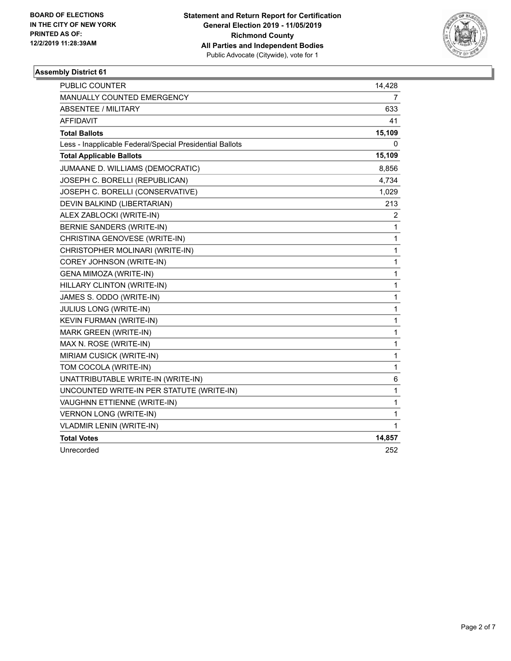

| PUBLIC COUNTER                                           | 14,428       |
|----------------------------------------------------------|--------------|
| MANUALLY COUNTED EMERGENCY                               | 7            |
| <b>ABSENTEE / MILITARY</b>                               | 633          |
| <b>AFFIDAVIT</b>                                         | 41           |
| <b>Total Ballots</b>                                     | 15,109       |
| Less - Inapplicable Federal/Special Presidential Ballots | 0            |
| <b>Total Applicable Ballots</b>                          | 15,109       |
| JUMAANE D. WILLIAMS (DEMOCRATIC)                         | 8,856        |
| JOSEPH C. BORELLI (REPUBLICAN)                           | 4,734        |
| JOSEPH C. BORELLI (CONSERVATIVE)                         | 1,029        |
| DEVIN BALKIND (LIBERTARIAN)                              | 213          |
| ALEX ZABLOCKI (WRITE-IN)                                 | 2            |
| BERNIE SANDERS (WRITE-IN)                                | 1            |
| CHRISTINA GENOVESE (WRITE-IN)                            | 1            |
| CHRISTOPHER MOLINARI (WRITE-IN)                          | $\mathbf{1}$ |
| COREY JOHNSON (WRITE-IN)                                 | $\mathbf{1}$ |
| GENA MIMOZA (WRITE-IN)                                   | 1            |
| HILLARY CLINTON (WRITE-IN)                               | $\mathbf{1}$ |
| JAMES S. ODDO (WRITE-IN)                                 | $\mathbf{1}$ |
| JULIUS LONG (WRITE-IN)                                   | 1            |
| KEVIN FURMAN (WRITE-IN)                                  | $\mathbf{1}$ |
| MARK GREEN (WRITE-IN)                                    | $\mathbf{1}$ |
| MAX N. ROSE (WRITE-IN)                                   | 1            |
| MIRIAM CUSICK (WRITE-IN)                                 | $\mathbf{1}$ |
| TOM COCOLA (WRITE-IN)                                    | $\mathbf{1}$ |
| UNATTRIBUTABLE WRITE-IN (WRITE-IN)                       | 6            |
| UNCOUNTED WRITE-IN PER STATUTE (WRITE-IN)                | $\mathbf{1}$ |
| VAUGHNN ETTIENNE (WRITE-IN)                              | $\mathbf{1}$ |
| <b>VERNON LONG (WRITE-IN)</b>                            | 1            |
| <b>VLADMIR LENIN (WRITE-IN)</b>                          | 1            |
| <b>Total Votes</b>                                       | 14,857       |
| Unrecorded                                               | 252          |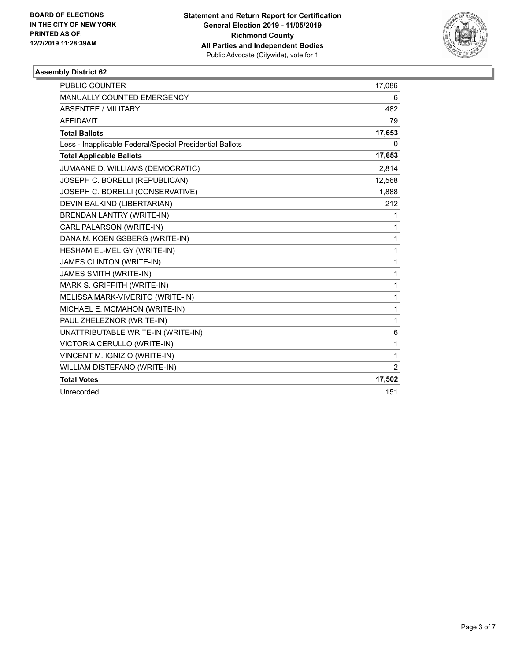

| PUBLIC COUNTER                                           | 17,086         |
|----------------------------------------------------------|----------------|
| <b>MANUALLY COUNTED EMERGENCY</b>                        | 6              |
| ABSENTEE / MILITARY                                      | 482            |
| <b>AFFIDAVIT</b>                                         | 79             |
| <b>Total Ballots</b>                                     | 17,653         |
| Less - Inapplicable Federal/Special Presidential Ballots | 0              |
| <b>Total Applicable Ballots</b>                          | 17,653         |
| JUMAANE D. WILLIAMS (DEMOCRATIC)                         | 2,814          |
| JOSEPH C. BORELLI (REPUBLICAN)                           | 12,568         |
| JOSEPH C. BORELLI (CONSERVATIVE)                         | 1,888          |
| DEVIN BALKIND (LIBERTARIAN)                              | 212            |
| <b>BRENDAN LANTRY (WRITE-IN)</b>                         | 1              |
| CARL PALARSON (WRITE-IN)                                 | 1              |
| DANA M. KOENIGSBERG (WRITE-IN)                           | $\mathbf{1}$   |
| HESHAM EL-MELIGY (WRITE-IN)                              | 1              |
| JAMES CLINTON (WRITE-IN)                                 | $\mathbf{1}$   |
| JAMES SMITH (WRITE-IN)                                   | $\mathbf{1}$   |
| MARK S. GRIFFITH (WRITE-IN)                              | $\mathbf{1}$   |
| MELISSA MARK-VIVERITO (WRITE-IN)                         | 1              |
| MICHAEL E. MCMAHON (WRITE-IN)                            | $\mathbf{1}$   |
| PAUL ZHELEZNOR (WRITE-IN)                                | $\mathbf{1}$   |
| UNATTRIBUTABLE WRITE-IN (WRITE-IN)                       | 6              |
| VICTORIA CERULLO (WRITE-IN)                              | 1              |
| VINCENT M. IGNIZIO (WRITE-IN)                            | 1              |
| WILLIAM DISTEFANO (WRITE-IN)                             | $\overline{2}$ |
| <b>Total Votes</b>                                       | 17,502         |
| Unrecorded                                               | 151            |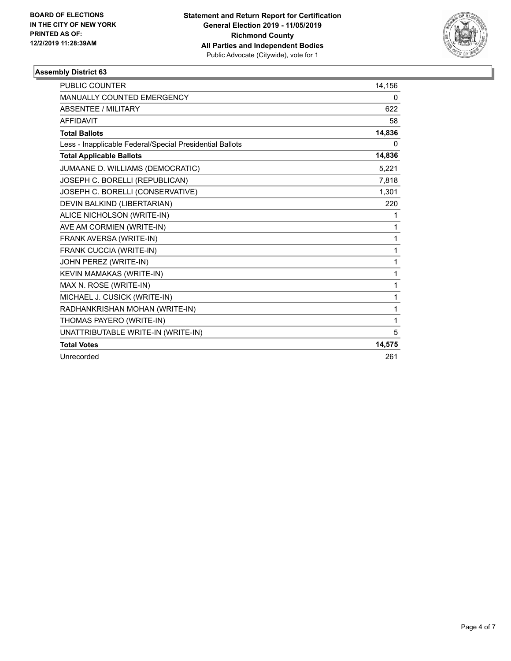

| <b>PUBLIC COUNTER</b>                                    | 14,156 |
|----------------------------------------------------------|--------|
| MANUALLY COUNTED EMERGENCY                               | 0      |
| <b>ABSENTEE / MILITARY</b>                               | 622    |
| <b>AFFIDAVIT</b>                                         | 58     |
| <b>Total Ballots</b>                                     | 14,836 |
| Less - Inapplicable Federal/Special Presidential Ballots | 0      |
| <b>Total Applicable Ballots</b>                          | 14,836 |
| JUMAANE D. WILLIAMS (DEMOCRATIC)                         | 5,221  |
| JOSEPH C. BORELLI (REPUBLICAN)                           | 7,818  |
| JOSEPH C. BORELLI (CONSERVATIVE)                         | 1,301  |
| DEVIN BALKIND (LIBERTARIAN)                              | 220    |
| ALICE NICHOLSON (WRITE-IN)                               | 1      |
| AVE AM CORMIEN (WRITE-IN)                                | 1      |
| FRANK AVERSA (WRITE-IN)                                  | 1      |
| FRANK CUCCIA (WRITE-IN)                                  | 1      |
| JOHN PEREZ (WRITE-IN)                                    | 1      |
| KEVIN MAMAKAS (WRITE-IN)                                 | 1      |
| MAX N. ROSE (WRITE-IN)                                   | 1      |
| MICHAEL J. CUSICK (WRITE-IN)                             | 1      |
| RADHANKRISHAN MOHAN (WRITE-IN)                           | 1      |
| THOMAS PAYERO (WRITE-IN)                                 | 1      |
| UNATTRIBUTABLE WRITE-IN (WRITE-IN)                       | 5      |
| <b>Total Votes</b>                                       | 14,575 |
| Unrecorded                                               | 261    |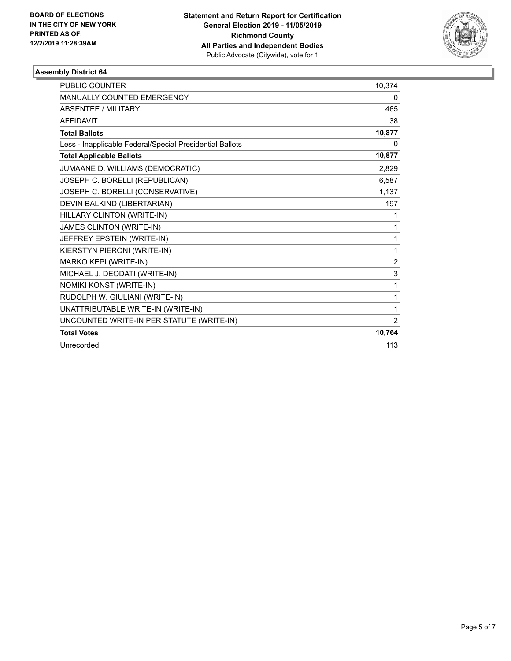

| <b>PUBLIC COUNTER</b>                                    | 10,374   |
|----------------------------------------------------------|----------|
| MANUALLY COUNTED EMERGENCY                               | $\Omega$ |
| <b>ABSENTEE / MILITARY</b>                               | 465      |
| <b>AFFIDAVIT</b>                                         | 38       |
| <b>Total Ballots</b>                                     | 10,877   |
| Less - Inapplicable Federal/Special Presidential Ballots | 0        |
| <b>Total Applicable Ballots</b>                          | 10,877   |
| JUMAANE D. WILLIAMS (DEMOCRATIC)                         | 2,829    |
| JOSEPH C. BORELLI (REPUBLICAN)                           | 6,587    |
| JOSEPH C. BORELLI (CONSERVATIVE)                         | 1,137    |
| DEVIN BALKIND (LIBERTARIAN)                              | 197      |
| HILLARY CLINTON (WRITE-IN)                               | 1        |
| JAMES CLINTON (WRITE-IN)                                 | 1        |
| JEFFREY EPSTEIN (WRITE-IN)                               | 1        |
| KIERSTYN PIERONI (WRITE-IN)                              | 1        |
| MARKO KEPI (WRITE-IN)                                    | 2        |
| MICHAEL J. DEODATI (WRITE-IN)                            | 3        |
| NOMIKI KONST (WRITE-IN)                                  | 1        |
| RUDOLPH W. GIULIANI (WRITE-IN)                           | 1        |
| UNATTRIBUTABLE WRITE-IN (WRITE-IN)                       | 1        |
| UNCOUNTED WRITE-IN PER STATUTE (WRITE-IN)                | 2        |
| <b>Total Votes</b>                                       | 10,764   |
| Unrecorded                                               | 113      |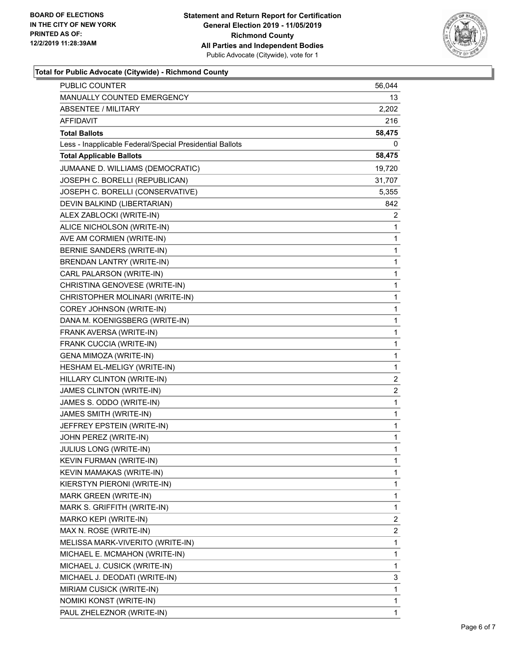

### **Total for Public Advocate (Citywide) - Richmond County**

| PUBLIC COUNTER                                           | 56,044                  |
|----------------------------------------------------------|-------------------------|
| MANUALLY COUNTED EMERGENCY                               | 13                      |
| <b>ABSENTEE / MILITARY</b>                               | 2,202                   |
| AFFIDAVIT                                                | 216                     |
| <b>Total Ballots</b>                                     | 58,475                  |
| Less - Inapplicable Federal/Special Presidential Ballots | 0                       |
| <b>Total Applicable Ballots</b>                          | 58,475                  |
| JUMAANE D. WILLIAMS (DEMOCRATIC)                         | 19,720                  |
| JOSEPH C. BORELLI (REPUBLICAN)                           | 31,707                  |
| JOSEPH C. BORELLI (CONSERVATIVE)                         | 5,355                   |
| DEVIN BALKIND (LIBERTARIAN)                              | 842                     |
| ALEX ZABLOCKI (WRITE-IN)                                 | 2                       |
| ALICE NICHOLSON (WRITE-IN)                               | 1                       |
| AVE AM CORMIEN (WRITE-IN)                                | $\mathbf 1$             |
| BERNIE SANDERS (WRITE-IN)                                | 1                       |
| <b>BRENDAN LANTRY (WRITE-IN)</b>                         | 1                       |
| CARL PALARSON (WRITE-IN)                                 | $\mathbf 1$             |
| CHRISTINA GENOVESE (WRITE-IN)                            | 1                       |
| CHRISTOPHER MOLINARI (WRITE-IN)                          | 1                       |
| COREY JOHNSON (WRITE-IN)                                 | $\mathbf 1$             |
| DANA M. KOENIGSBERG (WRITE-IN)                           | 1                       |
| FRANK AVERSA (WRITE-IN)                                  | 1                       |
| FRANK CUCCIA (WRITE-IN)                                  | $\mathbf 1$             |
| GENA MIMOZA (WRITE-IN)                                   | 1                       |
| HESHAM EL-MELIGY (WRITE-IN)                              | 1                       |
| HILLARY CLINTON (WRITE-IN)                               | $\overline{\mathbf{c}}$ |
| JAMES CLINTON (WRITE-IN)                                 | $\overline{c}$          |
| JAMES S. ODDO (WRITE-IN)                                 | 1                       |
| JAMES SMITH (WRITE-IN)                                   | 1                       |
| JEFFREY EPSTEIN (WRITE-IN)                               | 1                       |
| JOHN PEREZ (WRITE-IN)                                    | 1                       |
| JULIUS LONG (WRITE-IN)                                   | $\mathbf{1}$            |
| KEVIN FURMAN (WRITE-IN)                                  | 1                       |
| KEVIN MAMAKAS (WRITE-IN)                                 | 1                       |
| KIERSTYN PIERONI (WRITE-IN)                              | 1                       |
| MARK GREEN (WRITE-IN)                                    | 1                       |
| MARK S. GRIFFITH (WRITE-IN)                              | 1                       |
| MARKO KEPI (WRITE-IN)                                    | $\overline{\mathbf{c}}$ |
| MAX N. ROSE (WRITE-IN)                                   | 2                       |
| MELISSA MARK-VIVERITO (WRITE-IN)                         | 1                       |
| MICHAEL E. MCMAHON (WRITE-IN)                            | $\mathbf{1}$            |
| MICHAEL J. CUSICK (WRITE-IN)                             | 1                       |
| MICHAEL J. DEODATI (WRITE-IN)                            | 3                       |
| MIRIAM CUSICK (WRITE-IN)                                 | $\mathbf 1$             |
| NOMIKI KONST (WRITE-IN)                                  | 1                       |
| PAUL ZHELEZNOR (WRITE-IN)                                | 1                       |